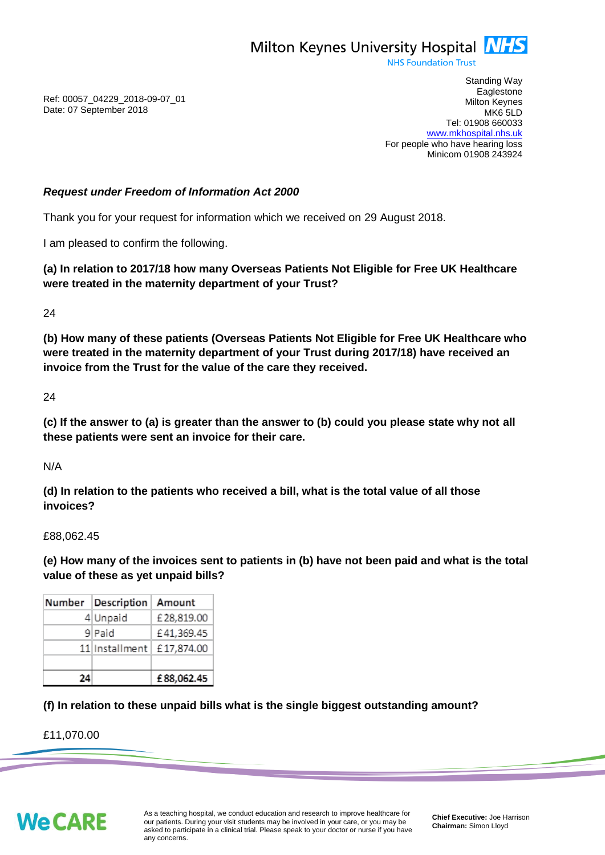

**NHS Foundation Trust** 

Ref: 00057\_04229\_2018-09-07\_01 Date: 07 September 2018

Standing Way **Eaglestone** Milton Keynes MK6 5LD Tel: 01908 660033 [www.mkhospital.nhs.uk](http://www.mkhospital.nhs.uk/) For people who have hearing loss Minicom 01908 243924

## *Request under Freedom of Information Act 2000*

Thank you for your request for information which we received on 29 August 2018.

I am pleased to confirm the following.

**(a) In relation to 2017/18 how many Overseas Patients Not Eligible for Free UK Healthcare were treated in the maternity department of your Trust?**

24

**(b) How many of these patients (Overseas Patients Not Eligible for Free UK Healthcare who were treated in the maternity department of your Trust during 2017/18) have received an invoice from the Trust for the value of the care they received.**

24

**(c) If the answer to (a) is greater than the answer to (b) could you please state why not all these patients were sent an invoice for their care.** 

N/A

**(d) In relation to the patients who received a bill, what is the total value of all those invoices?**

£88,062.45

**(e) How many of the invoices sent to patients in (b) have not been paid and what is the total value of these as yet unpaid bills?**

|    | Number Description Amount   |            |
|----|-----------------------------|------------|
|    | 4 Unpaid                    | £28,819.00 |
|    | 9 Paid                      | £41,369.45 |
|    | 11 Installment   £17,874.00 |            |
|    |                             |            |
| 2Δ |                             | £88,062.45 |

## **(f) In relation to these unpaid bills what is the single biggest outstanding amount?**

£11,070.00